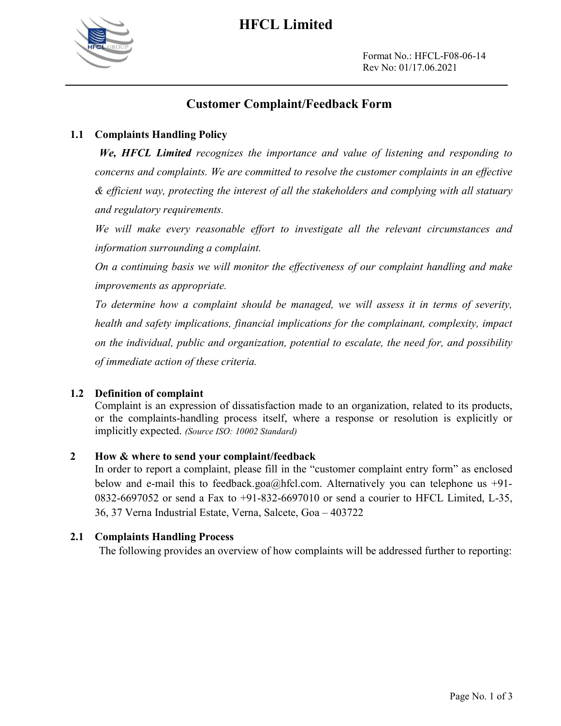

## HFCL Limited

Format No.: HFCL-F08-06-14 Rev No: 01/17.06.2021

## Customer Complaint/Feedback Form

## 1.1 Complaints Handling Policy

We, HFCL Limited recognizes the importance and value of listening and responding to concerns and complaints. We are committed to resolve the customer complaints in an effective & efficient way, protecting the interest of all the stakeholders and complying with all statuary and regulatory requirements.

We will make every reasonable effort to investigate all the relevant circumstances and information surrounding a complaint.

On a continuing basis we will monitor the effectiveness of our complaint handling and make improvements as appropriate.

 To determine how a complaint should be managed, we will assess it in terms of severity, health and safety implications, financial implications for the complainant, complexity, impact on the individual, public and organization, potential to escalate, the need for, and possibility of immediate action of these criteria.

### 1.2 Definition of complaint

 Complaint is an expression of dissatisfaction made to an organization, related to its products, or the complaints-handling process itself, where a response or resolution is explicitly or implicitly expected. (Source ISO: 10002 Standard)

### 2 How & where to send your complaint/feedback

 In order to report a complaint, please fill in the "customer complaint entry form" as enclosed below and e-mail this to feedback.goa@hfcl.com. Alternatively you can telephone us +91- 0832-6697052 or send a Fax to +91-832-6697010 or send a courier to HFCL Limited, L-35, 36, 37 Verna Industrial Estate, Verna, Salcete, Goa – 403722

### 2.1 Complaints Handling Process

The following provides an overview of how complaints will be addressed further to reporting: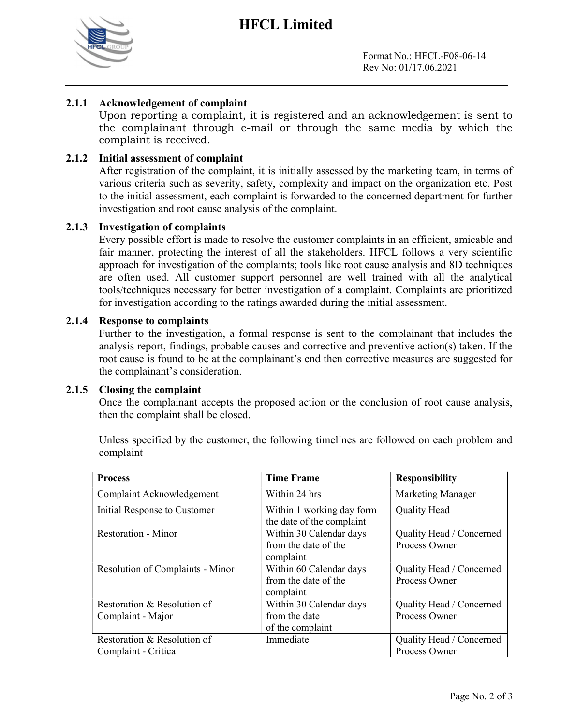## HFCL Limited



Format No.: HFCL-F08-06-14 Rev No: 01/17.06.2021

## 2.1.1 Acknowledgement of complaint

Upon reporting a complaint, it is registered and an acknowledgement is sent to the complainant through e-mail or through the same media by which the complaint is received.

## 2.1.2 Initial assessment of complaint

After registration of the complaint, it is initially assessed by the marketing team, in terms of various criteria such as severity, safety, complexity and impact on the organization etc. Post to the initial assessment, each complaint is forwarded to the concerned department for further investigation and root cause analysis of the complaint.

### 2.1.3 Investigation of complaints

Every possible effort is made to resolve the customer complaints in an efficient, amicable and fair manner, protecting the interest of all the stakeholders. HFCL follows a very scientific approach for investigation of the complaints; tools like root cause analysis and 8D techniques are often used. All customer support personnel are well trained with all the analytical tools/techniques necessary for better investigation of a complaint. Complaints are prioritized for investigation according to the ratings awarded during the initial assessment.

#### 2.1.4 Response to complaints

Further to the investigation, a formal response is sent to the complainant that includes the analysis report, findings, probable causes and corrective and preventive action(s) taken. If the root cause is found to be at the complainant's end then corrective measures are suggested for the complainant's consideration.

#### 2.1.5 Closing the complaint

Once the complainant accepts the proposed action or the conclusion of root cause analysis, then the complaint shall be closed.

Unless specified by the customer, the following timelines are followed on each problem and complaint

| <b>Process</b>                                      | <b>Time Frame</b>                                            | <b>Responsibility</b>                     |
|-----------------------------------------------------|--------------------------------------------------------------|-------------------------------------------|
| Complaint Acknowledgement                           | Within 24 hrs                                                | <b>Marketing Manager</b>                  |
| Initial Response to Customer                        | Within 1 working day form<br>the date of the complaint       | <b>Quality Head</b>                       |
| <b>Restoration - Minor</b>                          | Within 30 Calendar days<br>from the date of the<br>complaint | Quality Head / Concerned<br>Process Owner |
| Resolution of Complaints - Minor                    | Within 60 Calendar days<br>from the date of the<br>complaint | Quality Head / Concerned<br>Process Owner |
| Restoration & Resolution of<br>Complaint - Major    | Within 30 Calendar days<br>from the date<br>of the complaint | Quality Head / Concerned<br>Process Owner |
| Restoration & Resolution of<br>Complaint - Critical | Immediate                                                    | Quality Head / Concerned<br>Process Owner |